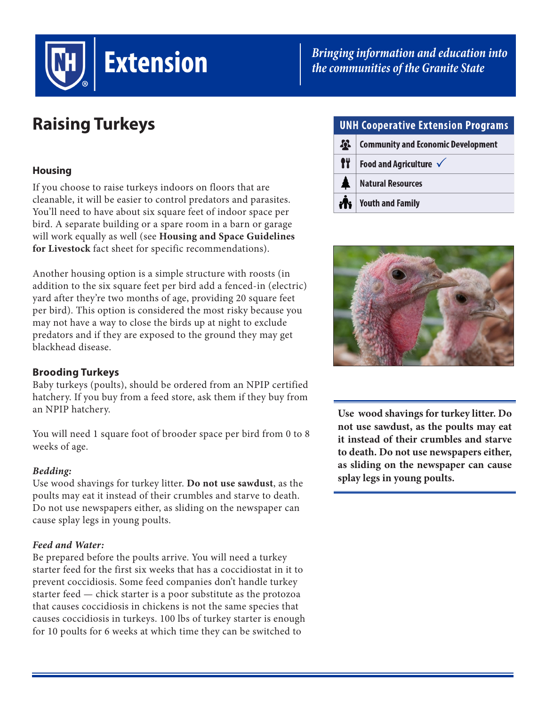

# *Bringing information and education into the communities of the Granite State*

# **Raising Turkeys**

# **Housing**

If you choose to raise turkeys indoors on floors that are cleanable, it will be easier to control predators and parasites. You'll need to have about six square feet of indoor space per bird. A separate building or a spare room in a barn or garage will work equally as well (see **Housing and Space Guidelines for Livestock** fact sheet for specific recommendations).

Another housing option is a simple structure with roosts (in addition to the six square feet per bird add a fenced-in (electric) yard after they're two months of age, providing 20 square feet per bird). This option is considered the most risky because you may not have a way to close the birds up at night to exclude predators and if they are exposed to the ground they may get blackhead disease.

## **Brooding Turkeys**

Baby turkeys (poults), should be ordered from an NPIP certified hatchery. If you buy from a feed store, ask them if they buy from an NPIP hatchery.

You will need 1 square foot of brooder space per bird from 0 to 8 weeks of age.

## *Bedding:*

Use wood shavings for turkey litter. **Do not use sawdust**, as the poults may eat it instead of their crumbles and starve to death. Do not use newspapers either, as sliding on the newspaper can cause splay legs in young poults.

## *Feed and Water:*

Be prepared before the poults arrive. You will need a turkey starter feed for the first six weeks that has a coccidiostat in it to prevent coccidiosis. Some feed companies don't handle turkey starter feed — chick starter is a poor substitute as the protozoa that causes coccidiosis in chickens is not the same species that causes coccidiosis in turkeys. 100 lbs of turkey starter is enough for 10 poults for 6 weeks at which time they can be switched to

|  | <b>UNH Cooperative Extension Programs</b> |                                           |
|--|-------------------------------------------|-------------------------------------------|
|  | $\boldsymbol{\Omega}$                     | <b>Community and Economic Development</b> |
|  | fŸ                                        | Food and Agriculture $\checkmark$         |
|  |                                           | <b>Natural Resources</b>                  |
|  | <b>PIST</b>                               | <b>Youth and Family</b>                   |



**Use wood shavings for turkey litter. Do not use sawdust, as the poults may eat it instead of their crumbles and starve to death. Do not use newspapers either, as sliding on the newspaper can cause splay legs in young poults.**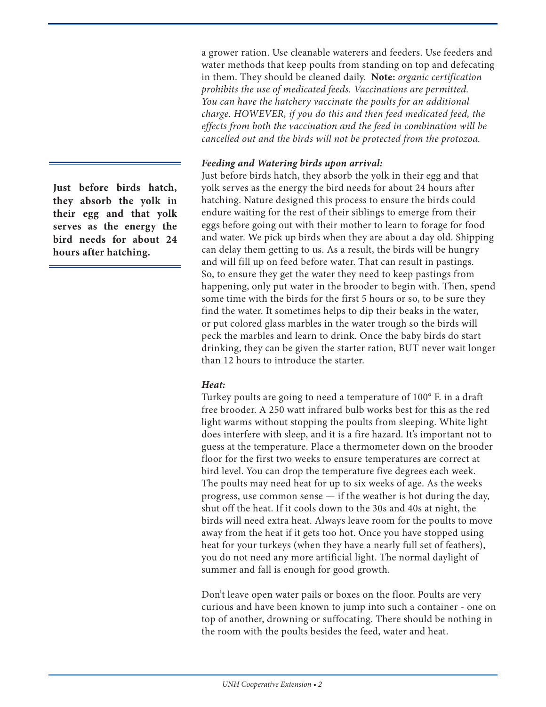a grower ration. Use cleanable waterers and feeders. Use feeders and water methods that keep poults from standing on top and defecating in them. They should be cleaned daily. **Note:** *organic certification prohibits the use of medicated feeds. Vaccinations are permitted. You can have the hatchery vaccinate the poults for an additional charge. HOWEVER, if you do this and then feed medicated feed, the effects from both the vaccination and the feed in combination will be cancelled out and the birds will not be protected from the protozoa.* 

#### *Feeding and Watering birds upon arrival:*

Just before birds hatch, they absorb the yolk in their egg and that yolk serves as the energy the bird needs for about 24 hours after hatching. Nature designed this process to ensure the birds could endure waiting for the rest of their siblings to emerge from their eggs before going out with their mother to learn to forage for food and water. We pick up birds when they are about a day old. Shipping can delay them getting to us. As a result, the birds will be hungry and will fill up on feed before water. That can result in pastings. So, to ensure they get the water they need to keep pastings from happening, only put water in the brooder to begin with. Then, spend some time with the birds for the first 5 hours or so, to be sure they find the water. It sometimes helps to dip their beaks in the water, or put colored glass marbles in the water trough so the birds will peck the marbles and learn to drink. Once the baby birds do start drinking, they can be given the starter ration, BUT never wait longer than 12 hours to introduce the starter.

#### *Heat:*

Turkey poults are going to need a temperature of 100° F. in a draft free brooder. A 250 watt infrared bulb works best for this as the red light warms without stopping the poults from sleeping. White light does interfere with sleep, and it is a fire hazard. It's important not to guess at the temperature. Place a thermometer down on the brooder floor for the first two weeks to ensure temperatures are correct at bird level. You can drop the temperature five degrees each week. The poults may need heat for up to six weeks of age. As the weeks progress, use common sense — if the weather is hot during the day, shut off the heat. If it cools down to the 30s and 40s at night, the birds will need extra heat. Always leave room for the poults to move away from the heat if it gets too hot. Once you have stopped using heat for your turkeys (when they have a nearly full set of feathers), you do not need any more artificial light. The normal daylight of summer and fall is enough for good growth.

Don't leave open water pails or boxes on the floor. Poults are very curious and have been known to jump into such a container - one on top of another, drowning or suffocating. There should be nothing in the room with the poults besides the feed, water and heat.

**Just before birds hatch, they absorb the yolk in their egg and that yolk serves as the energy the bird needs for about 24 hours after hatching.**